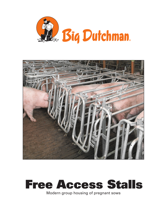